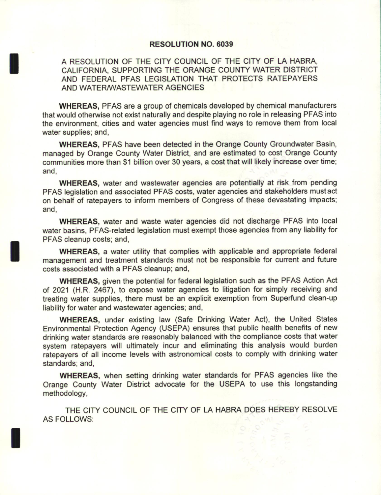#### RESOLUTION NO. 6039

A RESOLUTION OF THE CITY COUNCIL OF THE CITY OF LA HABRA, CALIFORNIA, SUPPORTING THE ORANGE COUNTY WATER DISTRICT AND FEDERAL PFAS LEGISLATION THAT PROTECTS RATEPAYERS AND WATER/ WASTEWATER AGENCIES

WHEREAS, PFAS are a group of chemicals developed by chemical manufacturers that would otherwise not exist naturally and despite playing no role in releasing PFAS into the environment, cities and water agencies must find ways to remove them from local water supplies; and,

WHEREAS, PFAS have been detected in the Orange County Groundwater Basin, managed by Orange County Water District, and are estimated to cost Orange County communities more than S1 billion over 30 years, a cost that will likely increase over time: and,

WHEREAS, water and wastewater agencies are potentially at risk from pending PFAS legislation and associated PFAS costs, water agencies and stakeholders must act on behalf of ratepayers to inform members of Congress of these devastating impacts; and,

WHEREAS, water and waste water agencies did not discharge PFAS into local water basins, PFAS-related legislation must exempt those agencies from any liability for PFAS cleanup costs; and,

WHEREAS, a water utility that complies with applicable and appropriate federal management and treatment standards must not be responsible for current and future costs associated with a PFAS cleanup; and,

WHEREAS, given the potential for federal legislation such as the PEAS Action Act of 2021 (H.R. 2467), to expose water agencies to litigation for simply receiving and treating water supplies, there must be an explicit exemption from Superfund clean- up liability for water and wastewater agencies; and,

WHEREAS, under existing law (Safe Drinking Water Act), the United States Environmental Protection Agency ( USEPA) ensures that public health benefits of new drinking water standards are reasonably balanced with the compliance costs that water system ratepayers will ultimately incur and eliminating this analysis would burden ratepayers of all income levels with astronomical costs to comply with drinking water standards; and,

WHEREAS, when setting drinking water standards for PFAS agencies like the Orange County Water District advocate for the USEPA to use this longstanding methodology,

THE CITY COUNCIL OF THE CITY OF LA HABRA DOES HEREBY RESOLVE AS FOLLOWS: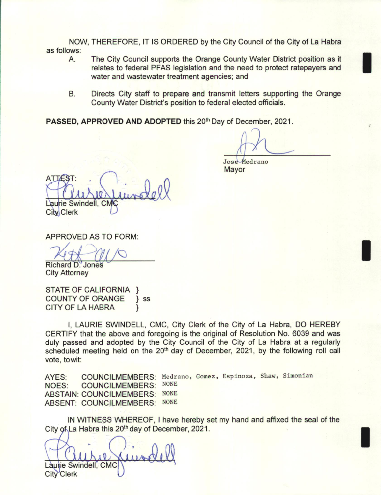NOW, THEREFORE, IT IS ORDERED by the City Council of the City of La Habra as follows:

- A. The City Council supports the Orange County Water District position as it relates to federal PFAS legislation and the need to protect ratepayers and water and wastewater treatment agencies; and
- B. Directs City staff to prepare and transmit letters supporting the Orange County Water District's position to federal elected officials.

PASSED, APPROVED AND ADOPTED this 20<sup>th</sup> Day of December, 2021.

 $\bigwedge_{\text{Jose-Medrano}}$ 

Mayor

ATTEST: Laurie Swindell, CMC

City Clerk

APPROVED AS TO FORM:

74t Richard D. Jone

City Attorney

STATE OF CALIFORNIA } COUNTY OF ORANGE } ss CITY OF LA HABRA

I, LAURIE SWINDELL, CMC, City Clerk of the City of La Habra, DO HEREBY CERTIFY that the above and foregoing is the original of Resolution No. 6039 and was duly passed and adopted by the City Council of the City of La Habra at a regularly scheduled meeting held on the 20<sup>th</sup> day of December, 2021, by the following roll call vote, towit:

AYES: COUNCILMEMBERS: Medrano, Gomez, Espinoza, Shaw, Simonian<br>NOES: COUNCILMEMBERS: NONE NOES: COUNCILMEMBERS: ABSTAIN: COUNCILMEMBERS: NONE ABSENT: COUNCILMEMBERS: NONE

IN WITNESS WHEREOF, I have hereby set my hand and affixed the seal of the City of La Habra this 20<sup>th</sup> day of December, 2021.

aure Kind f Laurie Swindell, CMC City Clerk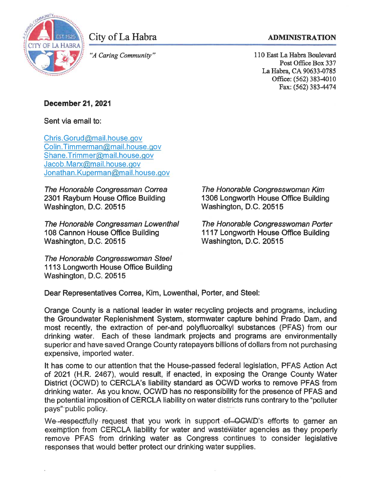

City of La Habra

"A Caring Community"

### **ADMINISTRATION**

110 East La Habra Boulevard Post Office Box 337 La Habra, CA 90633-0785 Office: (562) 383-4010 Fax: (562) 383-4474

# **December 21, 2021**

Sent via email to:

Chris.Gorud@mail.house.gov Colin.Timmerman@mail.house.gov Shane.Trimmer@mail.house.gov Jacob.Marx@mail.house.gov Jonathan.Kuperman@mail.house.gov

The Honorable Congressman Correa 2301 Rayburn House Office Building Washington, D.C. 20515

The Honorable Congressman Lowenthal 108 Cannon House Office Building Washington, D.C. 20515

The Honorable Congresswoman Steel 1113 Longworth House Office Building Washington, D.C. 20515

The Honorable Congresswoman Kim 1306 Longworth House Office Building Washington, D.C. 20515

The Honorable Congresswoman Porter 1117 Longworth House Office Building Washington, D.C. 20515

Dear Representatives Correa, Kim, Lowenthal, Porter, and Steel:

Orange County is a national leader in water recycling projects and programs, including the Groundwater Replenishment System, stormwater capture behind Prado Dam, and most recently, the extraction of per-and polyfluoroalkyl substances (PFAS) from our drinking water. Each of these landmark projects and programs are environmentally superior and have saved Orange County ratepayers billions of dollars from not purchasing expensive, imported water.

It has come to our attention that the House-passed federal legislation, PFAS Action Act of 2021 (H.R. 2467), would result, if enacted, in exposing the Orange County Water District (OCWD) to CERCLA's liability standard as OCWD works to remove PFAS from drinking water. As you know, OCWD has no responsibility for the presence of PFAS and the potential imposition of CERCLA liability on water districts runs contrary to the "polluter pays" public policy.

We respectfully request that you work in support of OGWD's efforts to garner an exemption from CERCLA liability for water and wastewater agencies as they properly remove PFAS from drinking water as Congress continues to consider legislative responses that would better protect our drinking water supplies.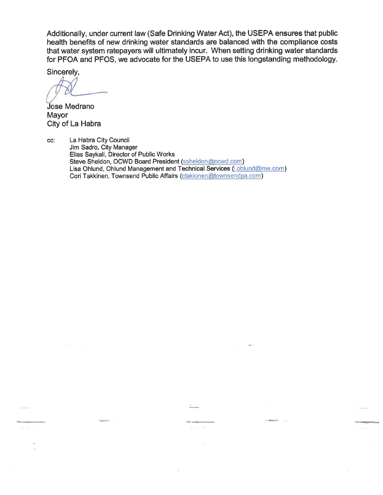Additionally, under current law (Safe Drinking Water Act), the USEPA ensures that public health benefits of new drinking water standards are balanced with the compliance costs that water system ratepayers will ultimately incur. When setting drinking water standards for PFOA and PFOS, we advocate for the USEPA to use this longstanding methodology.

 $1.0000000$ 

Sincerely,

**Jose Medrano** Mayor City of La Habra

**Harriet Co** 

La Habra City Council CC: Jim Sadro, City Manager Elias Saykali, Director of Public Works Steve Sheldon, OCWD Board President (ssheldon@ocwd.com) Lisa Ohlund, Ohlund Management and Technical Services (Lohlund@me.com) Cori Takkinen, Townsend Public Affairs (ctakkinen@townsendpa.com)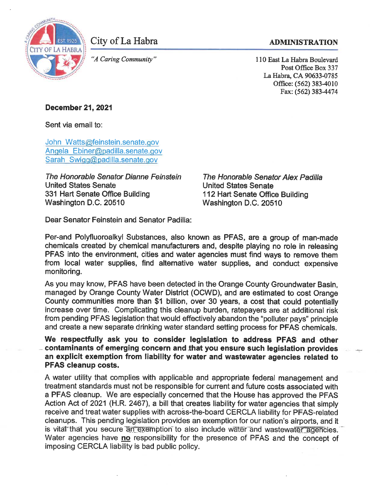

City of La Habra

#### **ADMINISTRATION**

"A Caring Community"

110 East La Habra Boulevard Post Office Box 337 La Habra, CA 90633-0785 Office: (562) 383-4010 Fax: (562) 383-4474

## **December 21, 2021**

Sent via email to:

John Watts@feinstein.senate.gov Angela Ebiner@padilla.senate.gov Sarah Swigg@padilla.senate.gov

The Honorable Senator Dianne Feinstein **United States Senate** 331 Hart Senate Office Building Washington D.C. 20510

The Honorable Senator Alex Padilla **United States Senate** 112 Hart Senate Office Building Washington D.C. 20510

Dear Senator Feinstein and Senator Padilla:

Per-and Polyfluoroalkyl Substances, also known as PFAS, are a group of man-made chemicals created by chemical manufacturers and, despite playing no role in releasing PFAS into the environment, cities and water agencies must find ways to remove them from local water supplies, find alternative water supplies, and conduct expensive monitoring.

As you may know, PFAS have been detected in the Orange County Groundwater Basin, managed by Orange County Water District (OCWD), and are estimated to cost Orange County communities more than \$1 billion, over 30 years, a cost that could potentially increase over time. Complicating this cleanup burden, ratepayers are at additional risk from pending PFAS legislation that would effectively abandon the "polluter pays" principle and create a new separate drinking water standard setting process for PFAS chemicals.

We respectfully ask you to consider legislation to address PFAS and other contaminants of emerging concern and that you ensure such legislation provides an explicit exemption from liability for water and wastewater agencies related to **PFAS cleanup costs.** 

A water utility that complies with applicable and appropriate federal management and treatment standards must not be responsible for current and future costs associated with a PFAS cleanup. We are especially concerned that the House has approved the PFAS Action Act of 2021 (H.R. 2467), a bill that creates liability for water agencies that simply receive and treat water supplies with across-the-board CERCLA liability for PFAS-related cleanups. This pending legislation provides an exemption for our nation's airports, and it is vital that you secure an exemption to also include water and wastewater agencies. Water agencies have no responsibility for the presence of PFAS and the concept of imposing CERCLA liability is bad public policy.